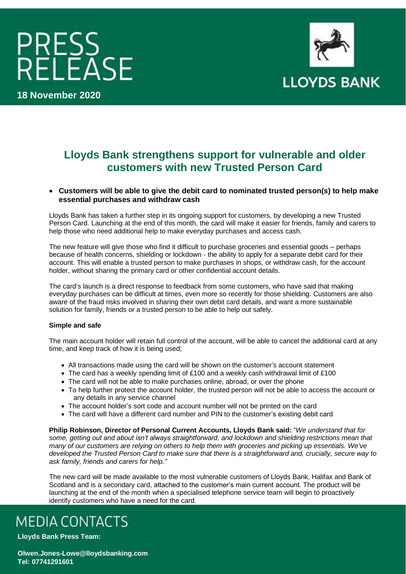# PRESS<br>RELEASE



**18 November 2020**

## **Lloyds Bank strengthens support for vulnerable and older customers with new Trusted Person Card**

### • **Customers will be able to give the debit card to nominated trusted person(s) to help make essential purchases and withdraw cash**

Lloyds Bank has taken a further step in its ongoing support for customers, by developing a new Trusted Person Card. Launching at the end of this month, the card will make it easier for friends, family and carers to help those who need additional help to make everyday purchases and access cash.

The new feature will give those who find it difficult to purchase groceries and essential goods – perhaps because of health concerns, shielding or lockdown - the ability to apply for a separate debit card for their account. This will enable a trusted person to make purchases in shops, or withdraw cash, for the account holder, without sharing the primary card or other confidential account details.

The card's launch is a direct response to feedback from some customers, who have said that making everyday purchases can be difficult at times, even more so recently for those shielding. Customers are also aware of the fraud risks involved in sharing their own debit card details, and want a more sustainable solution for family, friends or a trusted person to be able to help out safely.

### **Simple and safe**

The main account holder will retain full control of the account, will be able to cancel the additional card at any time, and keep track of how it is being used;

- All transactions made using the card will be shown on the customer's account statement
- The card has a weekly spending limit of £100 and a weekly cash withdrawal limit of £100
- The card will not be able to make purchases online, abroad, or over the phone
- To help further protect the account holder, the trusted person will not be able to access the account or any details in any service channel
- The account holder's sort code and account number will not be printed on the card
- The card will have a different card number and PIN to the customer's existing debit card

**Philip Robinson, Director of Personal Current Accounts, Lloyds Bank said:** "*We understand that for some, getting out and about isn't always straightforward, and lockdown and shielding restrictions mean that many of our customers are relying on others to help them with groceries and picking up essentials. We've developed the Trusted Person Card to make sure that there is a straightforward and, crucially, secure way to ask family, friends and carers for help."*

The new card will be made available to the most vulnerable customers of Lloyds Bank, Halifax and Bank of Scotland and is a secondary card, attached to the customer's main current account. The product will be launching at the end of the month when a specialised telephone service team will begin to proactively identify customers who have a need for the card.

# **MEDIA CONTACTS**

**Lloyds Bank Press Team:** 

**Olwen.Jones-Lowe@lloydsbanking.com Tel: 07741291601**